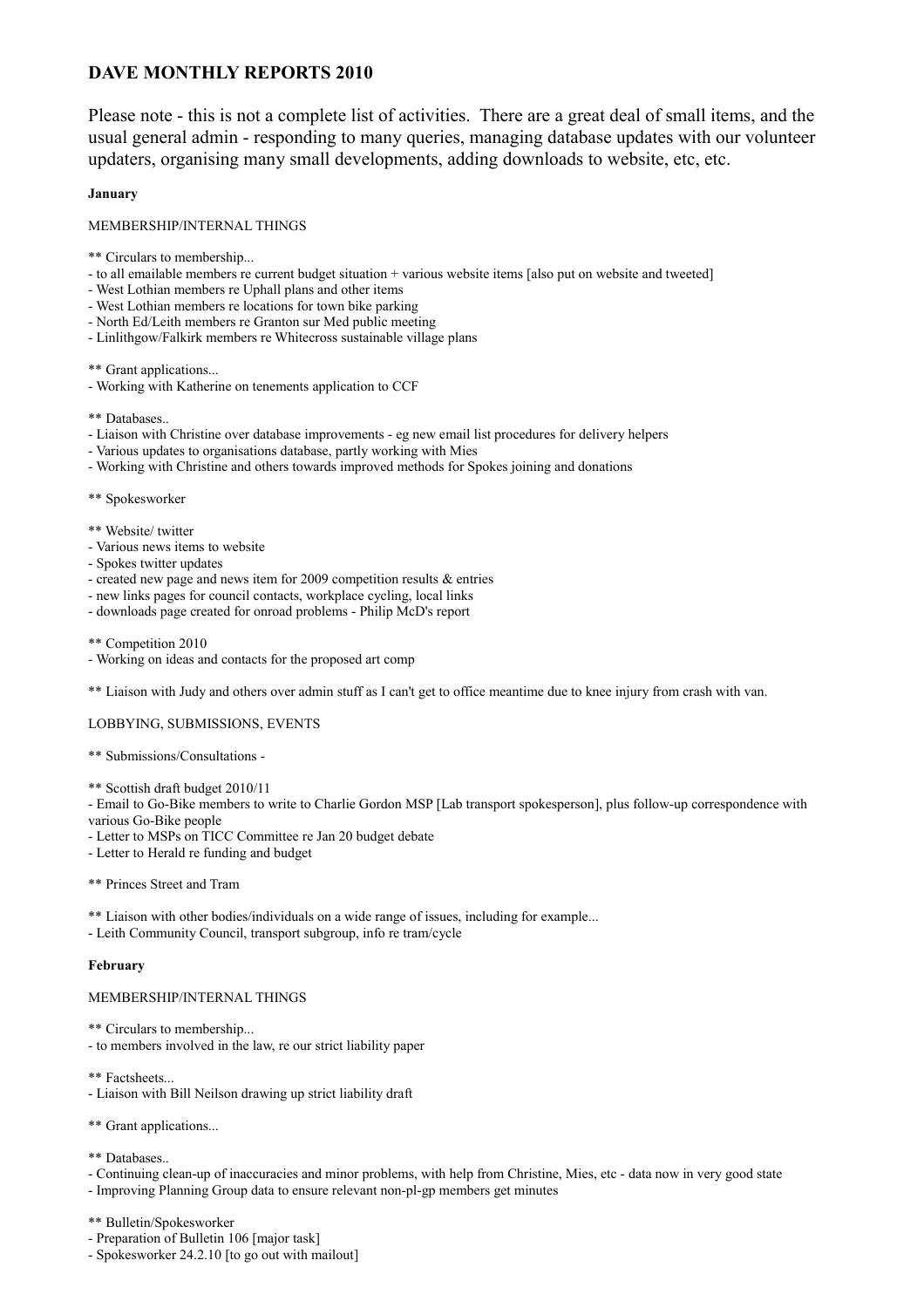# **DAVE MONTHLY REPORTS 2010**

Please note - this is not a complete list of activities. There are a great deal of small items, and the usual general admin - responding to many queries, managing database updates with our volunteer updaters, organising many small developments, adding downloads to website, etc, etc.

# **January**

MEMBERSHIP/INTERNAL THINGS

- \*\* Circulars to membership...
- to all emailable members re current budget situation + various website items [also put on website and tweeted]
- West Lothian members re Uphall plans and other items
- West Lothian members re locations for town bike parking
- North Ed/Leith members re Granton sur Med public meeting
- Linlithgow/Falkirk members re Whitecross sustainable village plans

\*\* Grant applications...

- Working with Katherine on tenements application to CCF
- \*\* Databases..
- Liaison with Christine over database improvements eg new email list procedures for delivery helpers
- Various updates to organisations database, partly working with Mies
- Working with Christine and others towards improved methods for Spokes joining and donations
- \*\* Spokesworker
- \*\* Website/ twitter
- Various news items to website
- Spokes twitter updates
- created new page and news item for 2009 competition results & entries
- new links pages for council contacts, workplace cycling, local links
- downloads page created for onroad problems Philip McD's report
- \*\* Competition 2010
- Working on ideas and contacts for the proposed art comp

\*\* Liaison with Judy and others over admin stuff as I can't get to office meantime due to knee injury from crash with van.

LOBBYING, SUBMISSIONS, EVENTS

- \*\* Submissions/Consultations -
- \*\* Scottish draft budget 2010/11

- Email to Go-Bike members to write to Charlie Gordon MSP [Lab transport spokesperson], plus follow-up correspondence with various Go-Bike people

- Letter to MSPs on TICC Committee re Jan 20 budget debate
- Letter to Herald re funding and budget

## \*\* Princes Street and Tram

\*\* Liaison with other bodies/individuals on a wide range of issues, including for example...

- Leith Community Council, transport subgroup, info re tram/cycle

## **February**

# MEMBERSHIP/INTERNAL THINGS

- \*\* Circulars to membership...
- to members involved in the law, re our strict liability paper
- \*\* Factsheets...
- Liaison with Bill Neilson drawing up strict liability draft

\*\* Grant applications...

\*\* Databases..

- Continuing clean-up of inaccuracies and minor problems, with help from Christine, Mies, etc - data now in very good state

- Improving Planning Group data to ensure relevant non-pl-gp members get minutes
- \*\* Bulletin/Spokesworker
- Preparation of Bulletin 106 [major task]
- Spokesworker 24.2.10 [to go out with mailout]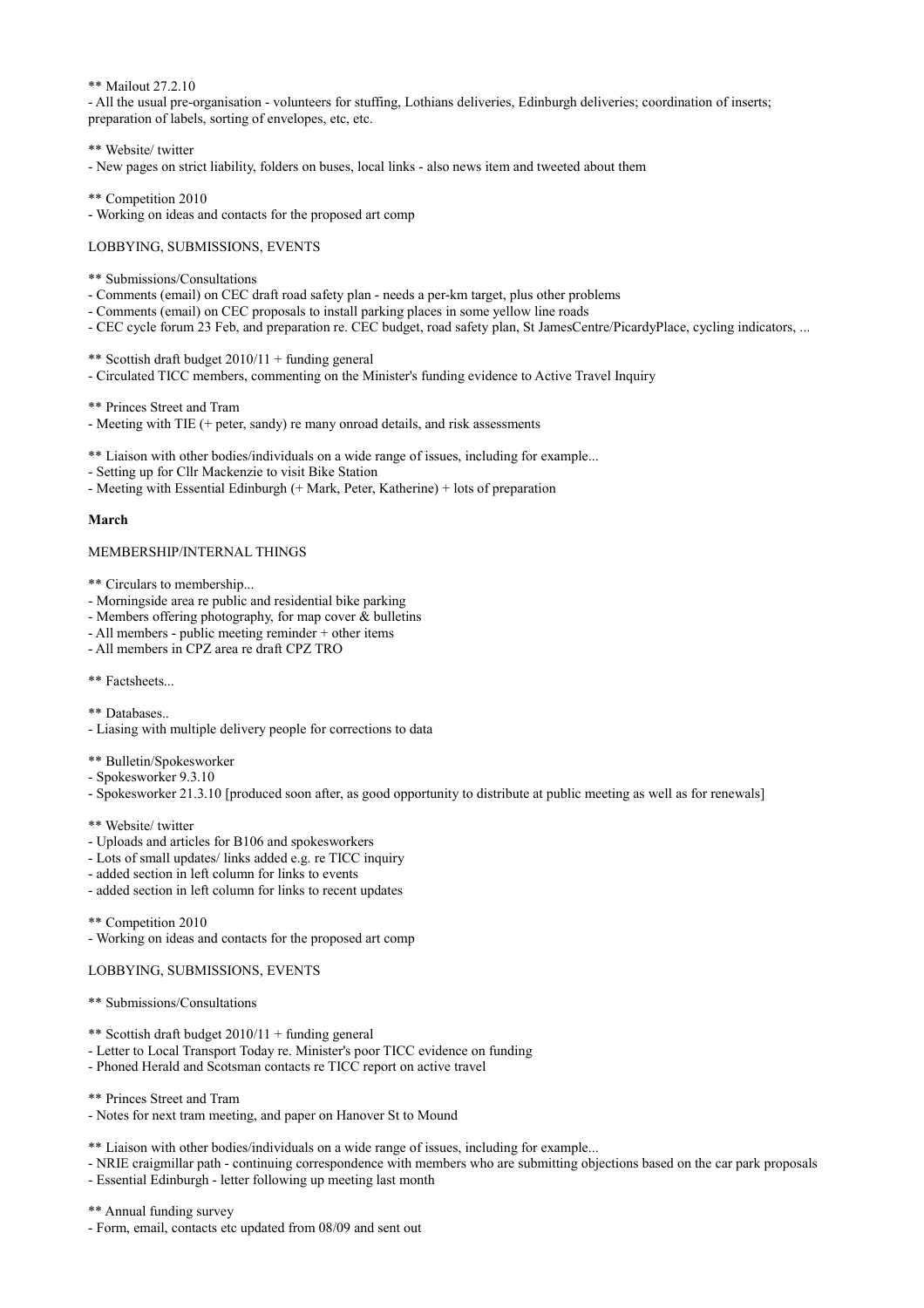\*\* Mailout 27.2.10

- All the usual pre-organisation - volunteers for stuffing, Lothians deliveries, Edinburgh deliveries; coordination of inserts; preparation of labels, sorting of envelopes, etc, etc.

\*\* Website/ twitter

- New pages on strict liability, folders on buses, local links - also news item and tweeted about them

\*\* Competition 2010

- Working on ideas and contacts for the proposed art comp

LOBBYING, SUBMISSIONS, EVENTS

\*\* Submissions/Consultations

- Comments (email) on CEC draft road safety plan needs a per-km target, plus other problems
- Comments (email) on CEC proposals to install parking places in some yellow line roads
- CEC cycle forum 23 Feb, and preparation re. CEC budget, road safety plan, St JamesCentre/PicardyPlace, cycling indicators, ...

\*\* Scottish draft budget 2010/11 + funding general

- Circulated TICC members, commenting on the Minister's funding evidence to Active Travel Inquiry

\*\* Princes Street and Tram

- Meeting with TIE (+ peter, sandy) re many onroad details, and risk assessments

\*\* Liaison with other bodies/individuals on a wide range of issues, including for example...

- Setting up for Cllr Mackenzie to visit Bike Station
- Meeting with Essential Edinburgh (+ Mark, Peter, Katherine) + lots of preparation

#### **March**

# MEMBERSHIP/INTERNAL THINGS

\*\* Circulars to membership...

- Morningside area re public and residential bike parking
- Members offering photography, for map cover  $\&$  bulletins
- All members public meeting reminder + other items
- All members in CPZ area re draft CPZ TRO

\*\* Factsheets...

- \*\* Databases..
- Liasing with multiple delivery people for corrections to data
- \*\* Bulletin/Spokesworker
- Spokesworker 9.3.10
- Spokesworker 21.3.10 [produced soon after, as good opportunity to distribute at public meeting as well as for renewals]
- \*\* Website/ twitter
- Uploads and articles for B106 and spokesworkers
- Lots of small updates/ links added e.g. re TICC inquiry
- added section in left column for links to events
- added section in left column for links to recent updates
- \*\* Competition 2010
- Working on ideas and contacts for the proposed art comp

## LOBBYING, SUBMISSIONS, EVENTS

\*\* Submissions/Consultations

- \*\* Scottish draft budget  $2010/11 +$  funding general
- Letter to Local Transport Today re. Minister's poor TICC evidence on funding
- Phoned Herald and Scotsman contacts re TICC report on active travel

\*\* Princes Street and Tram

- Notes for next tram meeting, and paper on Hanover St to Mound

\*\* Liaison with other bodies/individuals on a wide range of issues, including for example...

- NRIE craigmillar path - continuing correspondence with members who are submitting objections based on the car park proposals

- Essential Edinburgh - letter following up meeting last month

\*\* Annual funding survey

- Form, email, contacts etc updated from 08/09 and sent out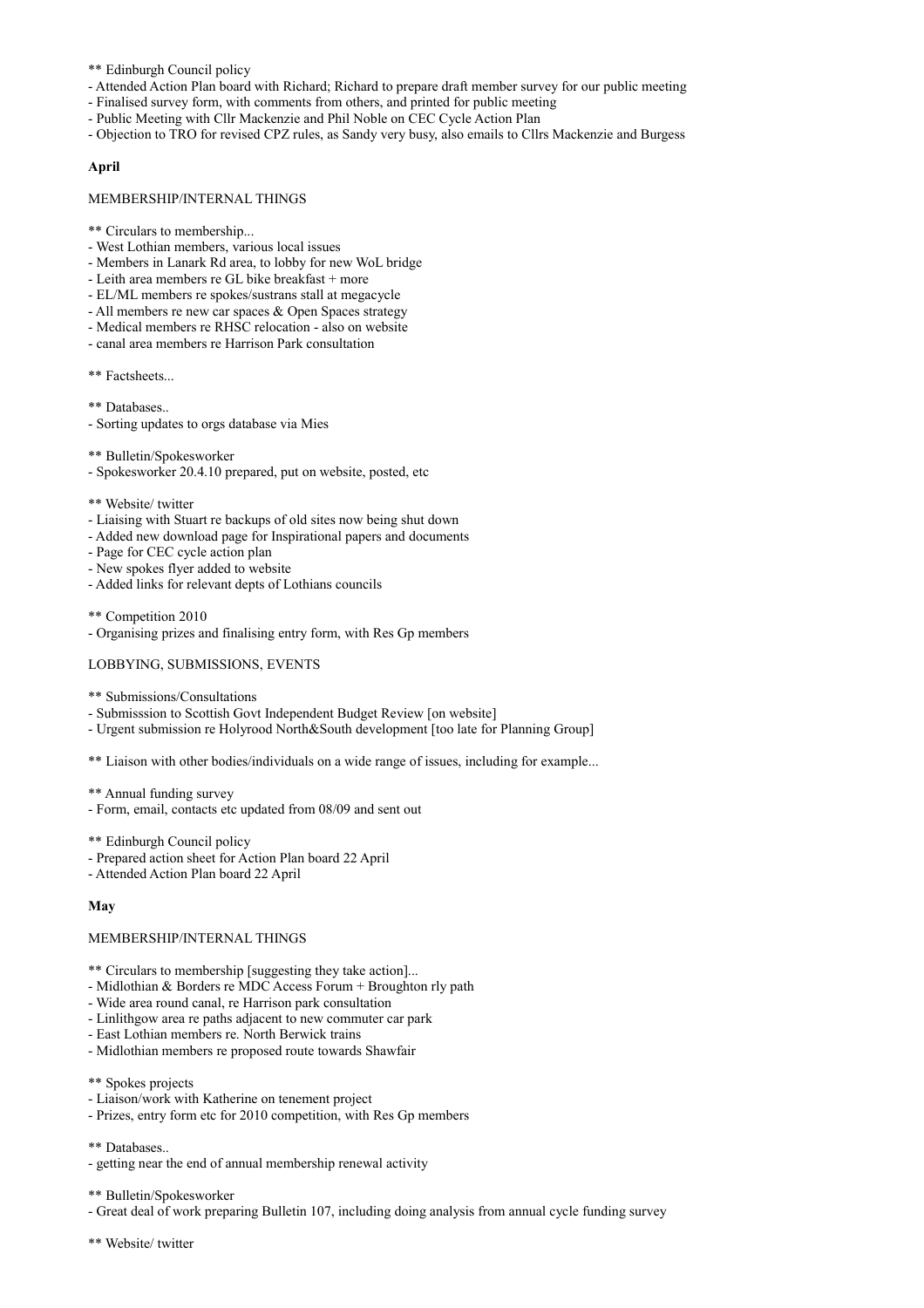\*\* Edinburgh Council policy

- Attended Action Plan board with Richard; Richard to prepare draft member survey for our public meeting
- Finalised survey form, with comments from others, and printed for public meeting
- Public Meeting with Cllr Mackenzie and Phil Noble on CEC Cycle Action Plan
- Objection to TRO for revised CPZ rules, as Sandy very busy, also emails to Cllrs Mackenzie and Burgess

# **April**

#### MEMBERSHIP/INTERNAL THINGS

- \*\* Circulars to membership...
- West Lothian members, various local issues
- Members in Lanark Rd area, to lobby for new WoL bridge
- Leith area members re GL bike breakfast + more
- EL/ML members re spokes/sustrans stall at megacycle
- All members re new car spaces & Open Spaces strategy
- Medical members re RHSC relocation also on website
- canal area members re Harrison Park consultation
- \*\* Factsheets...
- \*\* Databases..
- Sorting updates to orgs database via Mies
- \*\* Bulletin/Spokesworker
- Spokesworker 20.4.10 prepared, put on website, posted, etc
- \*\* Website/ twitter
- Liaising with Stuart re backups of old sites now being shut down
- Added new download page for Inspirational papers and documents
- Page for CEC cycle action plan
- New spokes flyer added to website
- Added links for relevant depts of Lothians councils
- \*\* Competition 2010
- Organising prizes and finalising entry form, with Res Gp members

## LOBBYING, SUBMISSIONS, EVENTS

- \*\* Submissions/Consultations
- Submisssion to Scottish Govt Independent Budget Review [on website]
- Urgent submission re Holyrood North&South development [too late for Planning Group]
- \*\* Liaison with other bodies/individuals on a wide range of issues, including for example...
- \*\* Annual funding survey
- Form, email, contacts etc updated from 08/09 and sent out
- \*\* Edinburgh Council policy
- Prepared action sheet for Action Plan board 22 April
- Attended Action Plan board 22 April

## **May**

## MEMBERSHIP/INTERNAL THINGS

- \*\* Circulars to membership [suggesting they take action]...
- Midlothian & Borders re MDC Access Forum + Broughton rly path
- Wide area round canal, re Harrison park consultation
- Linlithgow area re paths adjacent to new commuter car park
- East Lothian members re. North Berwick trains
- Midlothian members re proposed route towards Shawfair
- \*\* Spokes projects
- Liaison/work with Katherine on tenement project
- Prizes, entry form etc for 2010 competition, with Res Gp members

\*\* Databases..

- getting near the end of annual membership renewal activity

- Great deal of work preparing Bulletin 107, including doing analysis from annual cycle funding survey

<sup>\*\*</sup> Bulletin/Spokesworker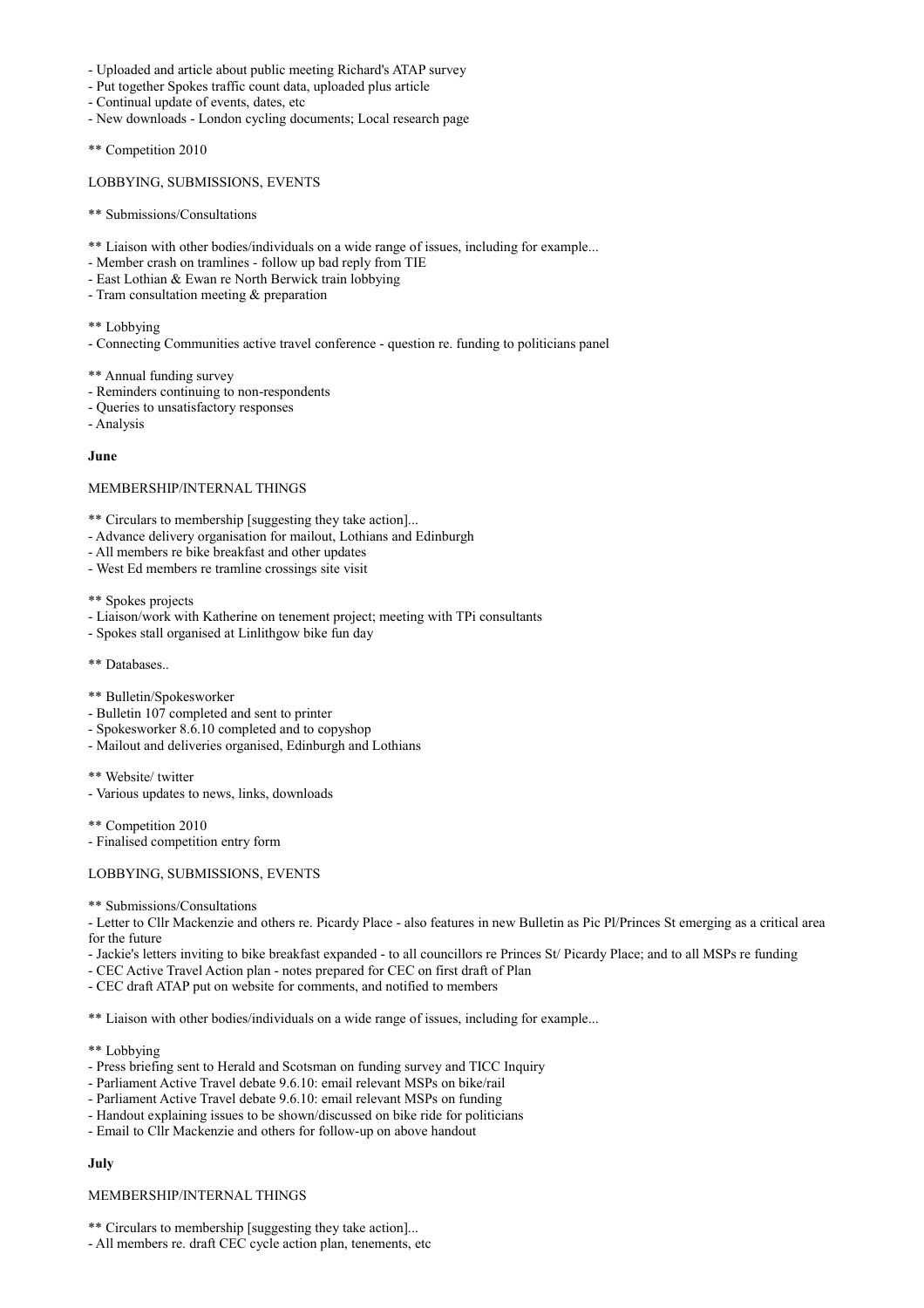- Uploaded and article about public meeting Richard's ATAP survey
- Put together Spokes traffic count data, uploaded plus article
- Continual update of events, dates, etc
- New downloads London cycling documents; Local research page
- \*\* Competition 2010

#### LOBBYING, SUBMISSIONS, EVENTS

- \*\* Submissions/Consultations
- \*\* Liaison with other bodies/individuals on a wide range of issues, including for example...
- Member crash on tramlines follow up bad reply from TIE
- East Lothian & Ewan re North Berwick train lobbying
- Tram consultation meeting & preparation

\*\* Lobbying

- Connecting Communities active travel conference - question re. funding to politicians panel

\*\* Annual funding survey

- Reminders continuing to non-respondents
- Queries to unsatisfactory responses
- Analysis

#### **June**

#### MEMBERSHIP/INTERNAL THINGS

\*\* Circulars to membership [suggesting they take action]...

- Advance delivery organisation for mailout, Lothians and Edinburgh
- All members re bike breakfast and other updates
- West Ed members re tramline crossings site visit

\*\* Spokes projects

- Liaison/work with Katherine on tenement project; meeting with TPi consultants
- Spokes stall organised at Linlithgow bike fun day
- \*\* Databases..
- \*\* Bulletin/Spokesworker
- Bulletin 107 completed and sent to printer
- Spokesworker 8.6.10 completed and to copyshop
- Mailout and deliveries organised, Edinburgh and Lothians
- \*\* Website/ twitter
- Various updates to news, links, downloads

\*\* Competition 2010

- Finalised competition entry form

## LOBBYING, SUBMISSIONS, EVENTS

\*\* Submissions/Consultations

- Letter to Cllr Mackenzie and others re. Picardy Place - also features in new Bulletin as Pic Pl/Princes St emerging as a critical area for the future

- Jackie's letters inviting to bike breakfast expanded - to all councillors re Princes St/ Picardy Place; and to all MSPs re funding

- CEC Active Travel Action plan notes prepared for CEC on first draft of Plan
- CEC draft ATAP put on website for comments, and notified to members

\*\* Liaison with other bodies/individuals on a wide range of issues, including for example...

- \*\* Lobbying
- Press briefing sent to Herald and Scotsman on funding survey and TICC Inquiry
- Parliament Active Travel debate 9.6.10: email relevant MSPs on bike/rail
- Parliament Active Travel debate 9.6.10: email relevant MSPs on funding
- Handout explaining issues to be shown/discussed on bike ride for politicians
- Email to Cllr Mackenzie and others for follow-up on above handout

# **July**

#### MEMBERSHIP/INTERNAL THINGS

\*\* Circulars to membership [suggesting they take action]...

- All members re. draft CEC cycle action plan, tenements, etc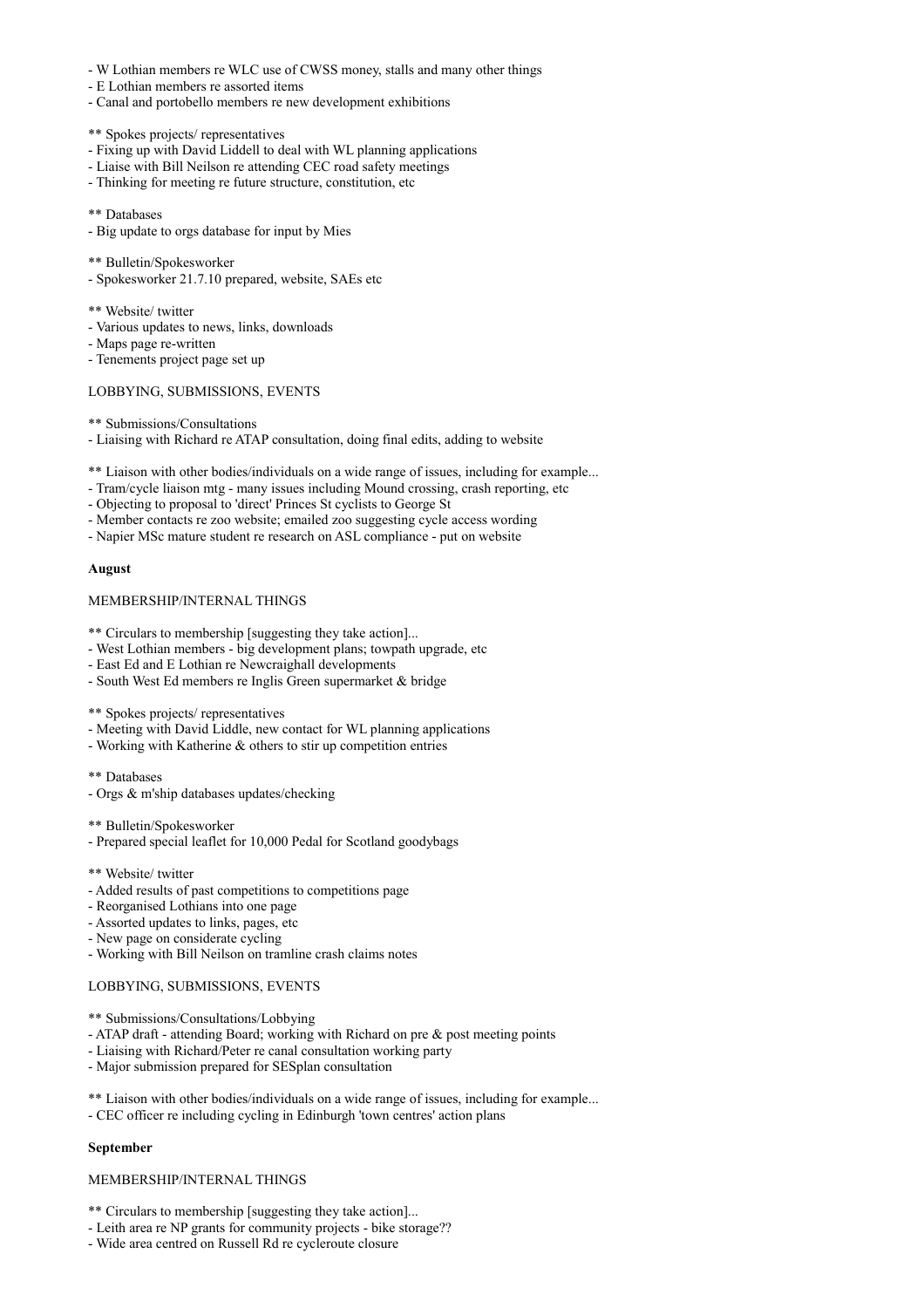- W Lothian members re WLC use of CWSS money, stalls and many other things
- E Lothian members re assorted items
- Canal and portobello members re new development exhibitions
- \*\* Spokes projects/ representatives
- Fixing up with David Liddell to deal with WL planning applications
- Liaise with Bill Neilson re attending CEC road safety meetings
- Thinking for meeting re future structure, constitution, etc
- \*\* Databases
- Big update to orgs database for input by Mies
- \*\* Bulletin/Spokesworker
- Spokesworker 21.7.10 prepared, website, SAEs etc
- \*\* Website/ twitter
- Various updates to news, links, downloads
- Maps page re-written
- Tenements project page set up

## LOBBYING, SUBMISSIONS, EVENTS

- \*\* Submissions/Consultations
- Liaising with Richard re ATAP consultation, doing final edits, adding to website
- \*\* Liaison with other bodies/individuals on a wide range of issues, including for example...
- Tram/cycle liaison mtg many issues including Mound crossing, crash reporting, etc
- Objecting to proposal to 'direct' Princes St cyclists to George St
- Member contacts re zoo website; emailed zoo suggesting cycle access wording
- Napier MSc mature student re research on ASL compliance put on website

## **August**

## MEMBERSHIP/INTERNAL THINGS

- \*\* Circulars to membership [suggesting they take action]...
- West Lothian members big development plans; towpath upgrade, etc
- East Ed and E Lothian re Newcraighall developments
- South West Ed members re Inglis Green supermarket & bridge

\*\* Spokes projects/ representatives

- Meeting with David Liddle, new contact for WL planning applications
- Working with Katherine & others to stir up competition entries
- \*\* Databases
- Orgs & m'ship databases updates/checking
- \*\* Bulletin/Spokesworker
- Prepared special leaflet for 10,000 Pedal for Scotland goodybags
- \*\* Website/ twitter
- Added results of past competitions to competitions page
- Reorganised Lothians into one page
- Assorted updates to links, pages, etc
- New page on considerate cycling
- Working with Bill Neilson on tramline crash claims notes

#### LOBBYING, SUBMISSIONS, EVENTS

- \*\* Submissions/Consultations/Lobbying
- ATAP draft attending Board; working with Richard on pre & post meeting points
- Liaising with Richard/Peter re canal consultation working party
- Major submission prepared for SESplan consultation
- \*\* Liaison with other bodies/individuals on a wide range of issues, including for example...
- CEC officer re including cycling in Edinburgh 'town centres' action plans

## **September**

## MEMBERSHIP/INTERNAL THINGS

- \*\* Circulars to membership [suggesting they take action]...
- Leith area re NP grants for community projects bike storage??
- Wide area centred on Russell Rd re cycleroute closure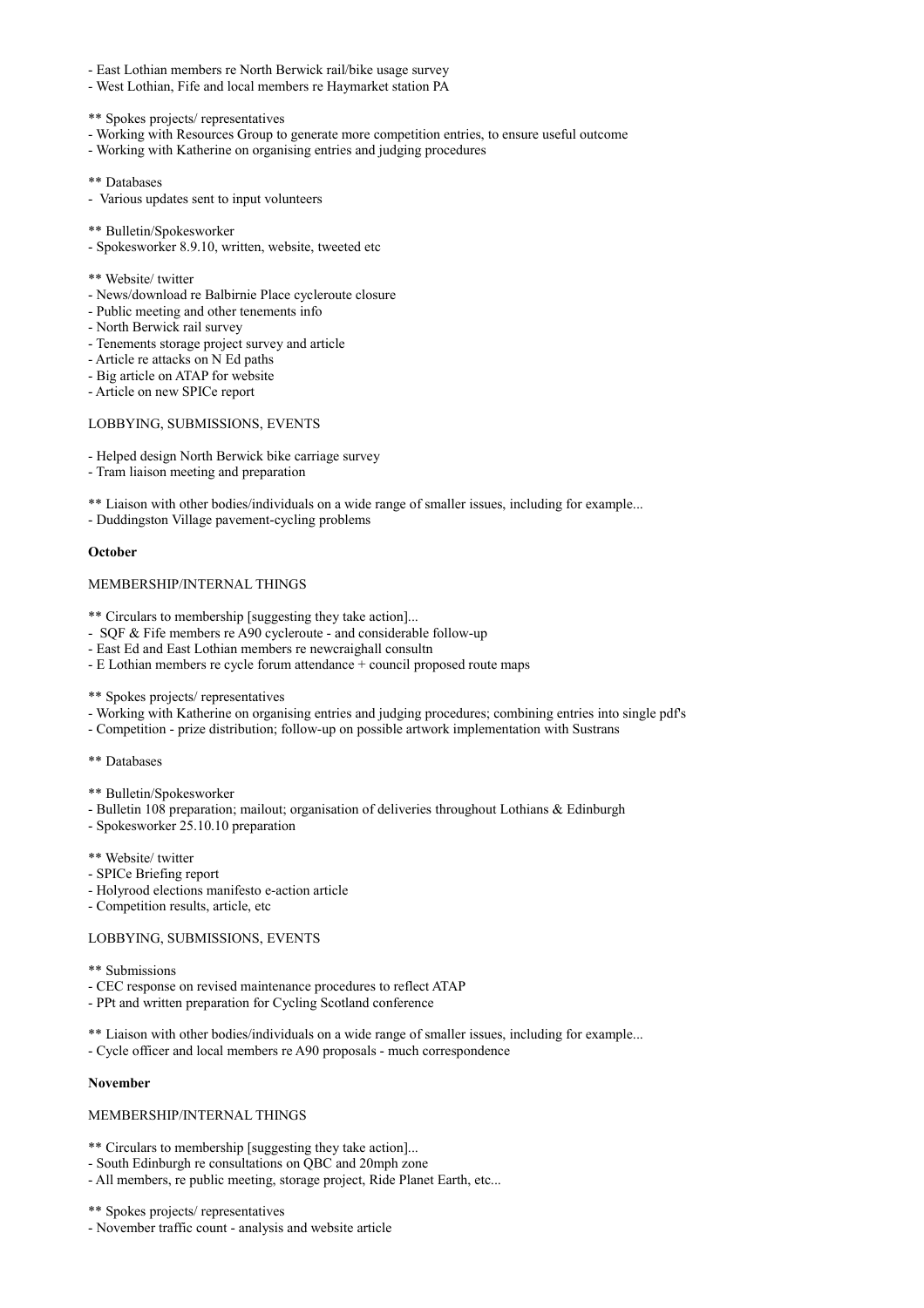- East Lothian members re North Berwick rail/bike usage survey
- West Lothian, Fife and local members re Haymarket station PA
- \*\* Spokes projects/ representatives
- Working with Resources Group to generate more competition entries, to ensure useful outcome
- Working with Katherine on organising entries and judging procedures
- \*\* Databases
- Various updates sent to input volunteers
- \*\* Bulletin/Spokesworker
- Spokesworker 8.9.10, written, website, tweeted etc
- \*\* Website/ twitter
- News/download re Balbirnie Place cycleroute closure
- Public meeting and other tenements info
- North Berwick rail survey
- Tenements storage project survey and article
- Article re attacks on N Ed paths
- Big article on ATAP for website
- Article on new SPICe report

# LOBBYING, SUBMISSIONS, EVENTS

- Helped design North Berwick bike carriage survey
- Tram liaison meeting and preparation
- \*\* Liaison with other bodies/individuals on a wide range of smaller issues, including for example...
- Duddingston Village pavement-cycling problems

#### **October**

# MEMBERSHIP/INTERNAL THINGS

- \*\* Circulars to membership [suggesting they take action]...
- SQF & Fife members re A90 cycleroute and considerable follow-up
- East Ed and East Lothian members re newcraighall consultn
- E Lothian members re cycle forum attendance + council proposed route maps

\*\* Spokes projects/ representatives

- Working with Katherine on organising entries and judging procedures; combining entries into single pdf's
- Competition prize distribution; follow-up on possible artwork implementation with Sustrans

```
** Databases
```
- \*\* Bulletin/Spokesworker
- Bulletin 108 preparation; mailout; organisation of deliveries throughout Lothians & Edinburgh
- Spokesworker 25.10.10 preparation
- \*\* Website/ twitter
- SPICe Briefing report
- Holyrood elections manifesto e-action article
- Competition results, article, etc

## LOBBYING, SUBMISSIONS, EVENTS

- \*\* Submissions
- CEC response on revised maintenance procedures to reflect ATAP
- PPt and written preparation for Cycling Scotland conference
- \*\* Liaison with other bodies/individuals on a wide range of smaller issues, including for example...
- Cycle officer and local members re A90 proposals much correspondence

# **November**

## MEMBERSHIP/INTERNAL THINGS

- \*\* Circulars to membership [suggesting they take action]...
- South Edinburgh re consultations on QBC and 20mph zone
- All members, re public meeting, storage project, Ride Planet Earth, etc...
- \*\* Spokes projects/ representatives
- November traffic count analysis and website article